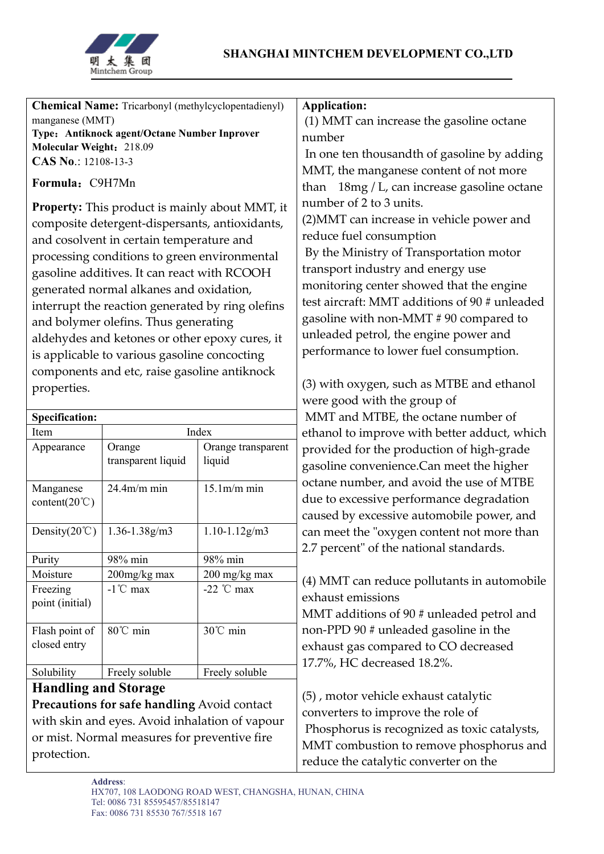

| <b>Chemical Name:</b> Tricarbonyl (methylcyclopentadienyl)<br>manganese (MMT)<br>Type: Antiknock agent/Octane Number Inprover<br>Molecular Weight: 218.09<br>CAS No.: 12108-13-3<br>Formula: C9H7Mn<br>Property: This product is mainly about MMT, it<br>composite detergent-dispersants, antioxidants,<br>and cosolvent in certain temperature and<br>processing conditions to green environmental<br>gasoline additives. It can react with RCOOH |                                    |                                       | <b>Application:</b><br>(1) MMT can increase the gasoline octane<br>number<br>In one ten thousandth of gasoline by adding<br>MMT, the manganese content of not more<br>than 18mg / L, can increase gasoline octane<br>number of 2 to 3 units.<br>(2) MMT can increase in vehicle power and<br>reduce fuel consumption<br>By the Ministry of Transportation motor<br>transport industry and energy use |
|----------------------------------------------------------------------------------------------------------------------------------------------------------------------------------------------------------------------------------------------------------------------------------------------------------------------------------------------------------------------------------------------------------------------------------------------------|------------------------------------|---------------------------------------|------------------------------------------------------------------------------------------------------------------------------------------------------------------------------------------------------------------------------------------------------------------------------------------------------------------------------------------------------------------------------------------------------|
| generated normal alkanes and oxidation,                                                                                                                                                                                                                                                                                                                                                                                                            |                                    |                                       | monitoring center showed that the engine                                                                                                                                                                                                                                                                                                                                                             |
| interrupt the reaction generated by ring olefins                                                                                                                                                                                                                                                                                                                                                                                                   |                                    |                                       | test aircraft: MMT additions of 90 # unleaded                                                                                                                                                                                                                                                                                                                                                        |
| and bolymer olefins. Thus generating                                                                                                                                                                                                                                                                                                                                                                                                               |                                    |                                       | gasoline with non-MMT # 90 compared to<br>unleaded petrol, the engine power and                                                                                                                                                                                                                                                                                                                      |
| aldehydes and ketones or other epoxy cures, it<br>is applicable to various gasoline concocting                                                                                                                                                                                                                                                                                                                                                     |                                    |                                       | performance to lower fuel consumption.                                                                                                                                                                                                                                                                                                                                                               |
| components and etc, raise gasoline antiknock                                                                                                                                                                                                                                                                                                                                                                                                       |                                    |                                       |                                                                                                                                                                                                                                                                                                                                                                                                      |
| properties.                                                                                                                                                                                                                                                                                                                                                                                                                                        |                                    |                                       | (3) with oxygen, such as MTBE and ethanol<br>were good with the group of<br>MMT and MTBE, the octane number of                                                                                                                                                                                                                                                                                       |
| <b>Specification:</b>                                                                                                                                                                                                                                                                                                                                                                                                                              |                                    |                                       |                                                                                                                                                                                                                                                                                                                                                                                                      |
| Index<br>Item                                                                                                                                                                                                                                                                                                                                                                                                                                      |                                    |                                       | ethanol to improve with better adduct, which                                                                                                                                                                                                                                                                                                                                                         |
| Appearance                                                                                                                                                                                                                                                                                                                                                                                                                                         | Orange<br>transparent liquid       | Orange transparent<br>liquid          | provided for the production of high-grade<br>gasoline convenience.Can meet the higher                                                                                                                                                                                                                                                                                                                |
| Manganese<br>content( $20^{\circ}$ C)                                                                                                                                                                                                                                                                                                                                                                                                              | $24.4m/m$ min                      | $15.1m/m$ min                         | octane number, and avoid the use of MTBE<br>due to excessive performance degradation<br>caused by excessive automobile power, and                                                                                                                                                                                                                                                                    |
| Density $(20^{\circ}\text{C})$                                                                                                                                                                                                                                                                                                                                                                                                                     | 1.36-1.38g/m3                      | $1.10 - 1.12$ g/m3                    | can meet the "oxygen content not more than<br>2.7 percent" of the national standards.                                                                                                                                                                                                                                                                                                                |
| Purity                                                                                                                                                                                                                                                                                                                                                                                                                                             | 98% min                            | 98% min                               |                                                                                                                                                                                                                                                                                                                                                                                                      |
| Moisture<br>Freezing<br>point (initial)                                                                                                                                                                                                                                                                                                                                                                                                            | 200mg/kg max<br>$-1^{\circ}$ C max | 200 mg/kg max<br>-22 $^{\circ}$ C max | (4) MMT can reduce pollutants in automobile<br>exhaust emissions<br>MMT additions of 90 # unleaded petrol and                                                                                                                                                                                                                                                                                        |
| Flash point of<br>closed entry                                                                                                                                                                                                                                                                                                                                                                                                                     | 80℃ min                            | 30℃ min                               | non-PPD 90 # unleaded gasoline in the<br>exhaust gas compared to CO decreased<br>17.7%, HC decreased 18.2%.                                                                                                                                                                                                                                                                                          |
| Solubility                                                                                                                                                                                                                                                                                                                                                                                                                                         | Freely soluble                     | Freely soluble                        |                                                                                                                                                                                                                                                                                                                                                                                                      |
| <b>Handling and Storage</b><br>Precautions for safe handling Avoid contact<br>with skin and eyes. Avoid inhalation of vapour<br>or mist. Normal measures for preventive fire<br>protection.                                                                                                                                                                                                                                                        |                                    |                                       | (5), motor vehicle exhaust catalytic<br>converters to improve the role of<br>Phosphorus is recognized as toxic catalysts,<br>MMT combustion to remove phosphorus and                                                                                                                                                                                                                                 |
|                                                                                                                                                                                                                                                                                                                                                                                                                                                    |                                    |                                       | reduce the catalytic converter on the                                                                                                                                                                                                                                                                                                                                                                |